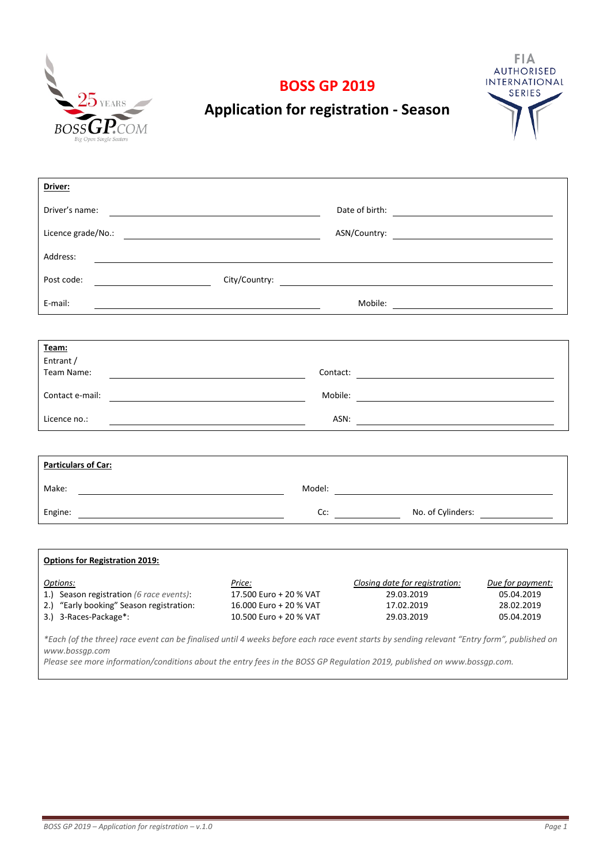





# **Application for registration - Season**

| Driver:                                                                           |                                                               |                                |                  |  |  |  |
|-----------------------------------------------------------------------------------|---------------------------------------------------------------|--------------------------------|------------------|--|--|--|
| Driver's name:                                                                    |                                                               |                                |                  |  |  |  |
|                                                                                   |                                                               |                                |                  |  |  |  |
| Address:                                                                          |                                                               |                                |                  |  |  |  |
| $\overline{\phantom{a}}$ . The contract of $\overline{\phantom{a}}$<br>Post code: |                                                               |                                |                  |  |  |  |
| E-mail:                                                                           |                                                               |                                |                  |  |  |  |
|                                                                                   |                                                               |                                |                  |  |  |  |
| Team:                                                                             |                                                               |                                |                  |  |  |  |
| Entrant /                                                                         |                                                               |                                |                  |  |  |  |
| Team Name:                                                                        |                                                               |                                |                  |  |  |  |
|                                                                                   |                                                               |                                |                  |  |  |  |
| Contact e-mail:                                                                   | <u> 1989 - Johann Barn, fransk politik formuler (d. 1989)</u> |                                |                  |  |  |  |
| Licence no.:                                                                      | ASN:                                                          |                                |                  |  |  |  |
|                                                                                   |                                                               |                                |                  |  |  |  |
| <b>Particulars of Car:</b>                                                        |                                                               |                                |                  |  |  |  |
| Make:                                                                             |                                                               |                                |                  |  |  |  |
|                                                                                   |                                                               | Cc: No. of Cylinders: No. 2012 |                  |  |  |  |
|                                                                                   |                                                               |                                |                  |  |  |  |
| <b>Options for Registration 2019:</b>                                             |                                                               |                                |                  |  |  |  |
| Options:                                                                          | Price:                                                        | Closing date for registration: | Due for payment: |  |  |  |
| 1.) Season registration (6 race events):                                          | 17.500 Euro + 20 % VAT                                        | 29.03.2019                     | 05.04.2019       |  |  |  |
| 2.) "Early booking" Season registration:                                          | 16.000 Euro + 20 % VAT                                        | 17.02.2019                     | 28.02.2019       |  |  |  |
| 3.) 3-Races-Package*:                                                             | 10.500 Euro + 20 % VAT                                        | 29.03.2019                     | 05.04.2019       |  |  |  |

*\*Each (of the three) race event can be finalised until 4 weeks before each race event starts by sending relevant "Entry form", published on www.bossgp.com*

*Please see more information/conditions about the entry fees in the BOSS GP Regulation 2019, published on www.bossgp.com.*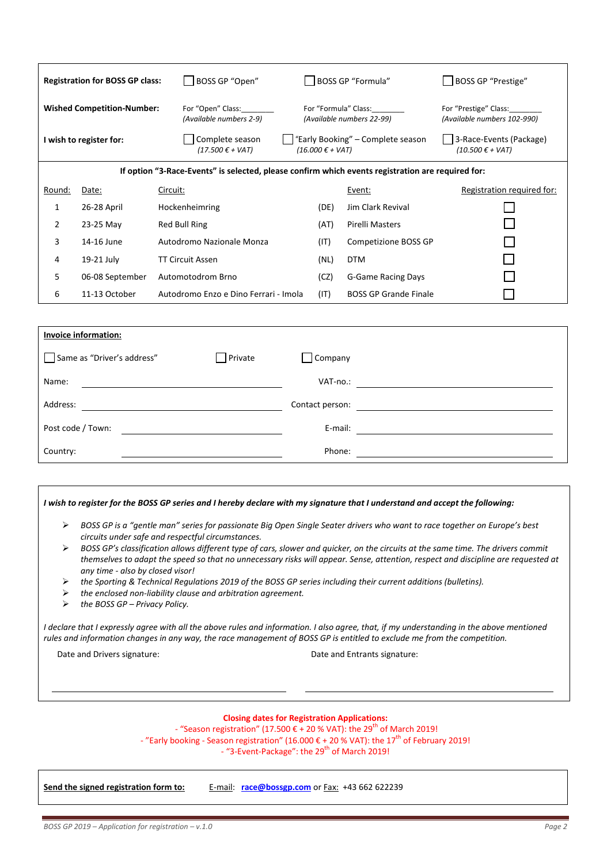|                                                                                                   | BOSS GP "Open"<br><b>Registration for BOSS GP class:</b> |                                                                                                   | BOSS GP "Formula"                                                              |                                                      | <b>BOSS GP "Prestige"</b>                       |  |
|---------------------------------------------------------------------------------------------------|----------------------------------------------------------|---------------------------------------------------------------------------------------------------|--------------------------------------------------------------------------------|------------------------------------------------------|-------------------------------------------------|--|
|                                                                                                   | <b>Wished Competition-Number:</b>                        | For "Open" Class:<br>For "Formula" Class:<br>(Available numbers 2-9)<br>(Available numbers 22-99) |                                                                                | For "Prestige" Class:<br>(Available numbers 102-990) |                                                 |  |
|                                                                                                   | I wish to register for:                                  | Complete season<br>$(17.500 \t∈ + VAT)$                                                           | "Early Booking" – Complete season<br>$(16.000 \text{ } \epsilon + \text{VAT})$ |                                                      | 3-Race-Events (Package)<br>$(10.500 \t∈ + VAT)$ |  |
| If option "3-Race-Events" is selected, please confirm which events registration are required for: |                                                          |                                                                                                   |                                                                                |                                                      |                                                 |  |
| Round:                                                                                            | Date:                                                    | Circuit:                                                                                          |                                                                                | Event:                                               | Registration required for:                      |  |
| 1                                                                                                 | 26-28 April                                              | Hockenheimring                                                                                    | (DE)                                                                           | <b>Jim Clark Revival</b>                             |                                                 |  |
| 2                                                                                                 | 23-25 May                                                | Red Bull Ring                                                                                     | (AT)                                                                           | Pirelli Masters                                      |                                                 |  |
| 3                                                                                                 | 14-16 June                                               | Autodromo Nazionale Monza                                                                         | (IT)                                                                           | Competizione BOSS GP                                 |                                                 |  |
| 4                                                                                                 | 19-21 July                                               | <b>TT Circuit Assen</b>                                                                           | (NL)                                                                           | <b>DTM</b>                                           |                                                 |  |
| 5                                                                                                 | 06-08 September                                          | Automotodrom Brno                                                                                 | (CZ)                                                                           | <b>G-Game Racing Days</b>                            |                                                 |  |
| 6                                                                                                 | 11-13 October                                            | Autodromo Enzo e Dino Ferrari - Imola                                                             | (IT)                                                                           | <b>BOSS GP Grande Finale</b>                         |                                                 |  |
|                                                                                                   |                                                          |                                                                                                   |                                                                                |                                                      |                                                 |  |

| <b>Invoice information:</b> |         |                 |  |
|-----------------------------|---------|-----------------|--|
| Same as "Driver's address"  | Private | Company         |  |
| Name:                       |         | VAT-no.:        |  |
| Address:                    |         | Contact person: |  |
| Post code / Town:           |         | E-mail:         |  |
| Country:                    |         | Phone:          |  |

#### *I wish to register for the BOSS GP series and I hereby declare with my signature that I understand and accept the following:*

- *BOSS GP is a "gentle man" series for passionate Big Open Single Seater drivers who want to race together on Europe's best circuits under safe and respectful circumstances.*
- *BOSS GP's classification allows different type of cars, slower and quicker, on the circuits at the same time. The drivers commit themselves to adapt the speed so that no unnecessary risks will appear. Sense, attention, respect and discipline are requested at any time - also by closed visor!*
- *the Sporting & Technical Regulations 2019 of the BOSS GP series including their current additions (bulletins).*
- *the enclosed non-liability clause and arbitration agreement.*
- *the BOSS GP Privacy Policy.*

*I declare that I expressly agree with all the above rules and information. I also agree, that, if my understanding in the above mentioned rules and information changes in any way, the race management of BOSS GP is entitled to exclude me from the competition.*

Date and Drivers signature:  $\qquad \qquad$  Date and Entrants signature:

#### **Closing dates for Registration Applications:**

- "Season registration" (17.500 € + 20 % VAT): the 29<sup>th</sup> of March 2019! - "Early booking - Season registration" (16.000 € + 20 % VAT): the 17<sup>th</sup> of February 2019! - "3-Event-Package": the 29<sup>th</sup> of March 2019!

**Send the signed registration form to:** E-mail: **[race@bossgp.com](mailto:race@bossgp.com)** or Fax: +43 662 622239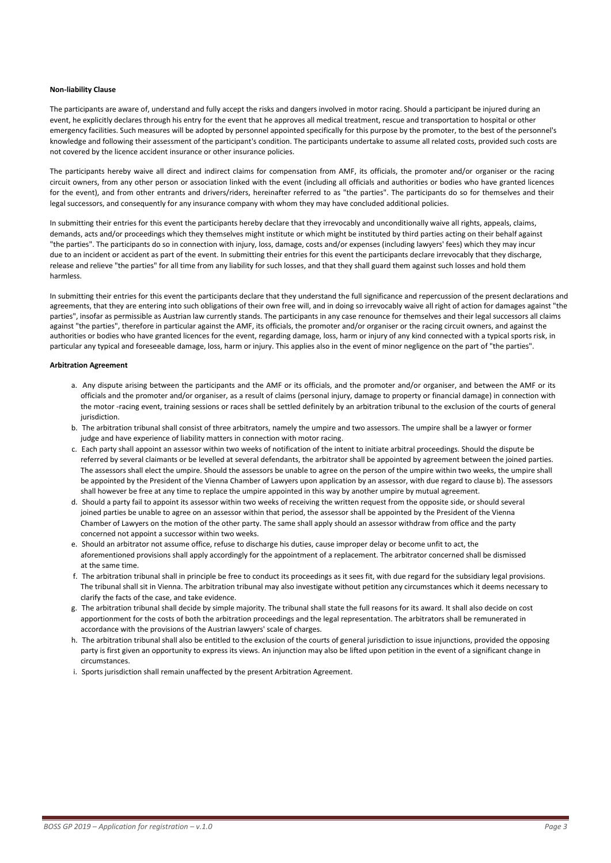#### **Non-liability Clause**

The participants are aware of, understand and fully accept the risks and dangers involved in motor racing. Should a participant be injured during an event, he explicitly declares through his entry for the event that he approves all medical treatment, rescue and transportation to hospital or other emergency facilities. Such measures will be adopted by personnel appointed specifically for this purpose by the promoter, to the best of the personnel's knowledge and following their assessment of the participant's condition. The participants undertake to assume all related costs, provided such costs are not covered by the licence accident insurance or other insurance policies.

The participants hereby waive all direct and indirect claims for compensation from AMF, its officials, the promoter and/or organiser or the racing circuit owners, from any other person or association linked with the event (including all officials and authorities or bodies who have granted licences for the event), and from other entrants and drivers/riders, hereinafter referred to as "the parties". The participants do so for themselves and their legal successors, and consequently for any insurance company with whom they may have concluded additional policies.

In submitting their entries for this event the participants hereby declare that they irrevocably and unconditionally waive all rights, appeals, claims, demands, acts and/or proceedings which they themselves might institute or which might be instituted by third parties acting on their behalf against "the parties". The participants do so in connection with injury, loss, damage, costs and/or expenses (including lawyers' fees) which they may incur due to an incident or accident as part of the event. In submitting their entries for this event the participants declare irrevocably that they discharge, release and relieve "the parties" for all time from any liability for such losses, and that they shall guard them against such losses and hold them harmless.

In submitting their entries for this event the participants declare that they understand the full significance and repercussion of the present declarations and agreements, that they are entering into such obligations of their own free will, and in doing so irrevocably waive all right of action for damages against "the parties", insofar as permissible as Austrian law currently stands. The participants in any case renounce for themselves and their legal successors all claims against "the parties", therefore in particular against the AMF, its officials, the promoter and/or organiser or the racing circuit owners, and against the authorities or bodies who have granted licences for the event, regarding damage, loss, harm or injury of any kind connected with a typical sports risk, in particular any typical and foreseeable damage, loss, harm or injury. This applies also in the event of minor negligence on the part of "the parties".

#### **Arbitration Agreement**

- a. Any dispute arising between the participants and the AMF or its officials, and the promoter and/or organiser, and between the AMF or its officials and the promoter and/or organiser, as a result of claims (personal injury, damage to property or financial damage) in connection with the motor -racing event, training sessions or races shall be settled definitely by an arbitration tribunal to the exclusion of the courts of general jurisdiction.
- b. The arbitration tribunal shall consist of three arbitrators, namely the umpire and two assessors. The umpire shall be a lawyer or former judge and have experience of liability matters in connection with motor racing.
- c. Each party shall appoint an assessor within two weeks of notification of the intent to initiate arbitral proceedings. Should the dispute be referred by several claimants or be levelled at several defendants, the arbitrator shall be appointed by agreement between the joined parties. The assessors shall elect the umpire. Should the assessors be unable to agree on the person of the umpire within two weeks, the umpire shall be appointed by the President of the Vienna Chamber of Lawyers upon application by an assessor, with due regard to clause b). The assessors shall however be free at any time to replace the umpire appointed in this way by another umpire by mutual agreement.
- d. Should a party fail to appoint its assessor within two weeks of receiving the written request from the opposite side, or should several joined parties be unable to agree on an assessor within that period, the assessor shall be appointed by the President of the Vienna Chamber of Lawyers on the motion of the other party. The same shall apply should an assessor withdraw from office and the party concerned not appoint a successor within two weeks.
- e. Should an arbitrator not assume office, refuse to discharge his duties, cause improper delay or become unfit to act, the aforementioned provisions shall apply accordingly for the appointment of a replacement. The arbitrator concerned shall be dismissed at the same time.
- f. The arbitration tribunal shall in principle be free to conduct its proceedings as it sees fit, with due regard for the subsidiary legal provisions. The tribunal shall sit in Vienna. The arbitration tribunal may also investigate without petition any circumstances which it deems necessary to clarify the facts of the case, and take evidence.
- g. The arbitration tribunal shall decide by simple majority. The tribunal shall state the full reasons for its award. It shall also decide on cost apportionment for the costs of both the arbitration proceedings and the legal representation. The arbitrators shall be remunerated in accordance with the provisions of the Austrian lawyers' scale of charges.
- h. The arbitration tribunal shall also be entitled to the exclusion of the courts of general jurisdiction to issue injunctions, provided the opposing party is first given an opportunity to express its views. An injunction may also be lifted upon petition in the event of a significant change in circumstances.
- i. Sports jurisdiction shall remain unaffected by the present Arbitration Agreement.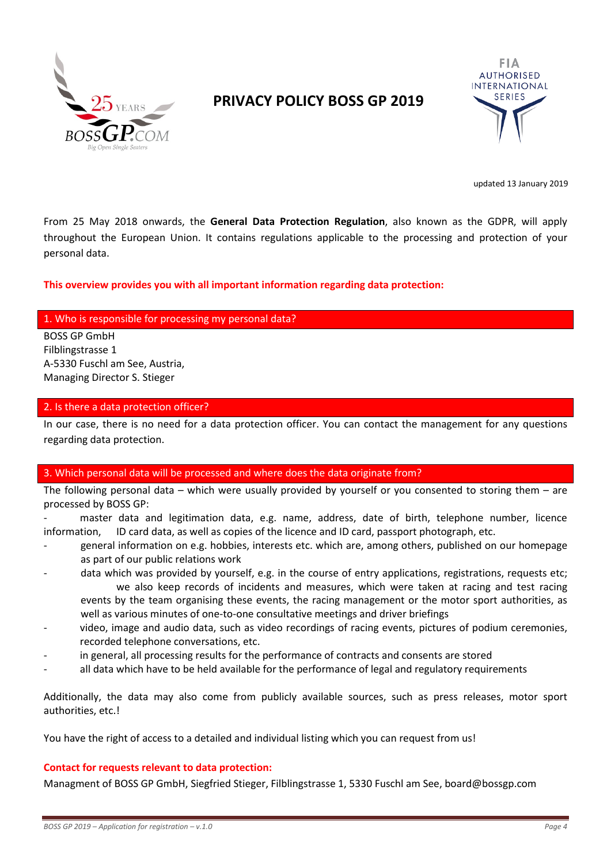

## **PRIVACY POLICY BOSS GP 2019**



updated 13 January 2019

From 25 May 2018 onwards, the **General Data Protection Regulation**, also known as the GDPR, will apply throughout the European Union. It contains regulations applicable to the processing and protection of your personal data.

#### **This overview provides you with all important information regarding data protection:**

### 1. Who is responsible for processing my personal data?

BOSS GP GmbH Filblingstrasse 1 A-5330 Fuschl am See, Austria, Managing Director S. Stieger

#### 2. Is there a data protection officer?

In our case, there is no need for a data protection officer. You can contact the management for any questions regarding data protection.

#### 3. Which personal data will be processed and where does the data originate from?

The following personal data – which were usually provided by yourself or you consented to storing them – are processed by BOSS GP:

master data and legitimation data, e.g. name, address, date of birth, telephone number, licence information, ID card data, as well as copies of the licence and ID card, passport photograph, etc.

- general information on e.g. hobbies, interests etc. which are, among others, published on our homepage as part of our public relations work
- data which was provided by yourself, e.g. in the course of entry applications, registrations, requests etc; we also keep records of incidents and measures, which were taken at racing and test racing events by the team organising these events, the racing management or the motor sport authorities, as well as various minutes of one-to-one consultative meetings and driver briefings
- video, image and audio data, such as video recordings of racing events, pictures of podium ceremonies, recorded telephone conversations, etc.
- in general, all processing results for the performance of contracts and consents are stored
- all data which have to be held available for the performance of legal and regulatory requirements

Additionally, the data may also come from publicly available sources, such as press releases, motor sport authorities, etc.!

You have the right of access to a detailed and individual listing which you can request from us!

#### **Contact for requests relevant to data protection:**

Managment of BOSS GP GmbH, Siegfried Stieger, Filblingstrasse 1, 5330 Fuschl am See, board@bossgp.com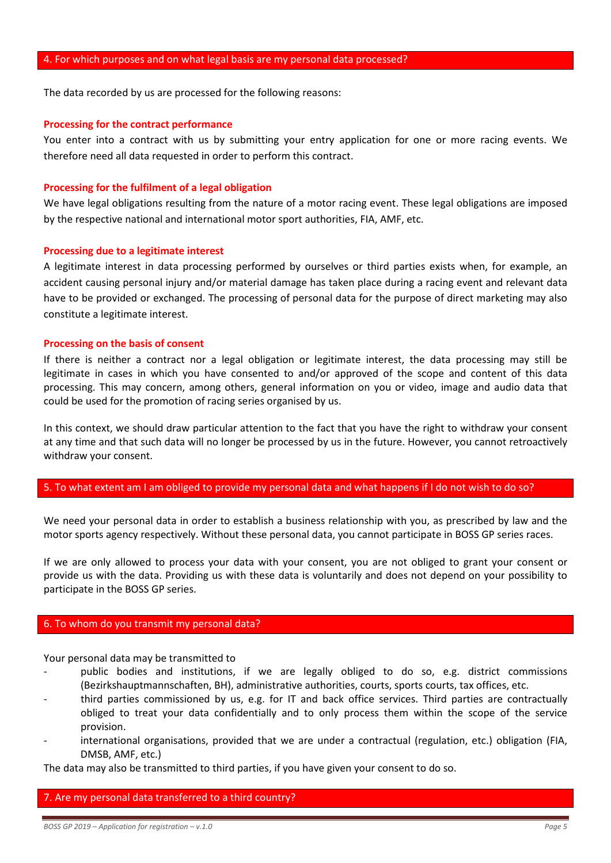The data recorded by us are processed for the following reasons:

#### **Processing for the contract performance**

You enter into a contract with us by submitting your entry application for one or more racing events. We therefore need all data requested in order to perform this contract.

#### **Processing for the fulfilment of a legal obligation**

We have legal obligations resulting from the nature of a motor racing event. These legal obligations are imposed by the respective national and international motor sport authorities, FIA, AMF, etc.

#### **Processing due to a legitimate interest**

A legitimate interest in data processing performed by ourselves or third parties exists when, for example, an accident causing personal injury and/or material damage has taken place during a racing event and relevant data have to be provided or exchanged. The processing of personal data for the purpose of direct marketing may also constitute a legitimate interest.

#### **Processing on the basis of consent**

If there is neither a contract nor a legal obligation or legitimate interest, the data processing may still be legitimate in cases in which you have consented to and/or approved of the scope and content of this data processing. This may concern, among others, general information on you or video, image and audio data that could be used for the promotion of racing series organised by us.

In this context, we should draw particular attention to the fact that you have the right to withdraw your consent at any time and that such data will no longer be processed by us in the future. However, you cannot retroactively withdraw your consent.

### 5. To what extent am I am obliged to provide my personal data and what happens if I do not wish to do so?

We need your personal data in order to establish a business relationship with you, as prescribed by law and the motor sports agency respectively. Without these personal data, you cannot participate in BOSS GP series races.

If we are only allowed to process your data with your consent, you are not obliged to grant your consent or provide us with the data. Providing us with these data is voluntarily and does not depend on your possibility to participate in the BOSS GP series.

### 6. To whom do you transmit my personal data?

Your personal data may be transmitted to

- public bodies and institutions, if we are legally obliged to do so, e.g. district commissions (Bezirkshauptmannschaften, BH), administrative authorities, courts, sports courts, tax offices, etc.
- third parties commissioned by us, e.g. for IT and back office services. Third parties are contractually obliged to treat your data confidentially and to only process them within the scope of the service provision.
- international organisations, provided that we are under a contractual (regulation, etc.) obligation (FIA, DMSB, AMF, etc.)

The data may also be transmitted to third parties, if you have given your consent to do so.

#### 7. Are my personal data transferred to a third country?